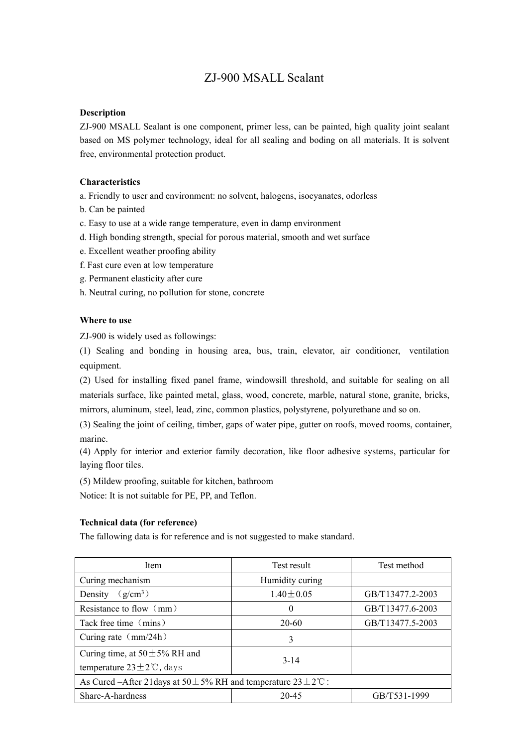# ZJ-900 MSALL Sealant

# **Description**

ZJ-900 MSALL Sealant is one component, primer less, can be painted, high quality joint sealant based on MS polymer technology, ideal for all sealing and boding on all materials. It is solvent free, environmental protection product.

## **Characteristics**

a. Friendly to user and environment: no solvent, halogens, isocyanates, odorless

- b. Can be painted
- c. Easy to use at a wide range temperature, even in damp environment
- d. High bonding strength, special for porous material, smooth and wet surface
- e. Excellent weather proofing ability
- f. Fast cure even at low temperature
- g. Permanent elasticity after cure
- h. Neutral curing, no pollution for stone, concrete

#### **Where to use**

ZJ-900 is widely used as followings:

(1) Sealing and bonding in housing area, bus, train, elevator, air conditioner, ventilation equipment.

(2) Used for installing fixed panel frame, windowsill threshold, and suitable for sealing on all materials surface, like painted metal, glass, wood, concrete, marble, natural stone, granite, bricks, mirrors, aluminum, steel, lead, zinc, common plastics, polystyrene, polyurethane and so on.

(3) Sealing the joint of ceiling, timber, gaps of water pipe, gutter on roofs, moved rooms, container, marine.

(4) Apply for interior and exterior family decoration, like floor adhesive systems, particular for laying floor tiles.

(5) Mildew proofing, suitable for kitchen, bathroom

Notice: It is not suitable for PE, PP, and Teflon.

#### **Technical data (for reference)**

The fallowing data is for reference and is not suggested to make standard.

| Item                                                                            | Test result     | Test method      |  |
|---------------------------------------------------------------------------------|-----------------|------------------|--|
| Curing mechanism                                                                | Humidity curing |                  |  |
| $(g/cm^3)$<br>Density                                                           | $1.40 \pm 0.05$ | GB/T13477.2-2003 |  |
| Resistance to flow $\langle$ mm $\rangle$                                       | $\Omega$        | GB/T13477.6-2003 |  |
| Tack free time (mins)                                                           | 20-60           | GB/T13477.5-2003 |  |
| Curing rate $\langle mm/24h \rangle$                                            | 3               |                  |  |
| Curing time, at $50 \pm 5\%$ RH and                                             | $3 - 14$        |                  |  |
| temperature $23 \pm 2^{\circ}$ C, days                                          |                 |                  |  |
| As Cured –After 21 days at $50 \pm 5\%$ RH and temperature $23 \pm 2\degree$ C: |                 |                  |  |
| Share-A-hardness                                                                | 20-45           | GB/T531-1999     |  |